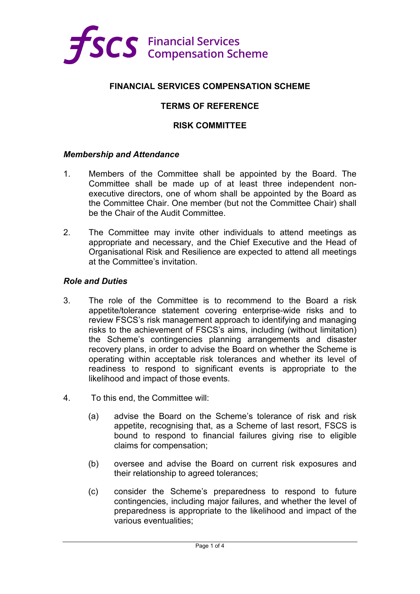

## **FINANCIAL SERVICES COMPENSATION SCHEME**

## **TERMS OF REFERENCE**

### **RISK COMMITTEE**

#### *Membership and Attendance*

- 1. Members of the Committee shall be appointed by the Board. The Committee shall be made up of at least three independent nonexecutive directors, one of whom shall be appointed by the Board as the Committee Chair. One member (but not the Committee Chair) shall be the Chair of the Audit Committee.
- 2. The Committee may invite other individuals to attend meetings as appropriate and necessary, and the Chief Executive and the Head of Organisational Risk and Resilience are expected to attend all meetings at the Committee's invitation.

#### *Role and Duties*

- 3. The role of the Committee is to recommend to the Board a risk appetite/tolerance statement covering enterprise-wide risks and to review FSCS's risk management approach to identifying and managing risks to the achievement of FSCS's aims, including (without limitation) the Scheme's contingencies planning arrangements and disaster recovery plans, in order to advise the Board on whether the Scheme is operating within acceptable risk tolerances and whether its level of readiness to respond to significant events is appropriate to the likelihood and impact of those events.
- 4. To this end, the Committee will:
	- (a) advise the Board on the Scheme's tolerance of risk and risk appetite, recognising that, as a Scheme of last resort, FSCS is bound to respond to financial failures giving rise to eligible claims for compensation;
	- (b) oversee and advise the Board on current risk exposures and their relationship to agreed tolerances;
	- (c) consider the Scheme's preparedness to respond to future contingencies, including major failures, and whether the level of preparedness is appropriate to the likelihood and impact of the various eventualities;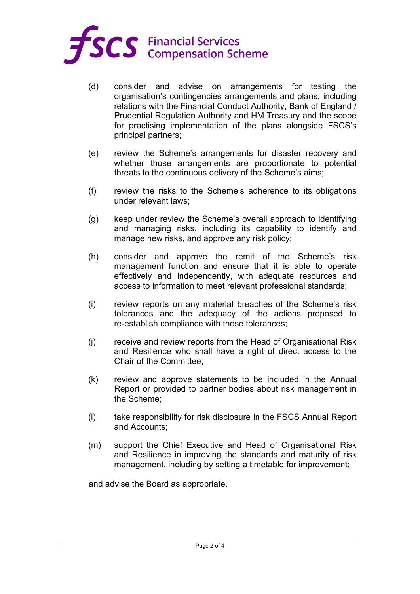

- (d) consider and advise on arrangements for testing the organisation's contingencies arrangements and plans, including relations with the Financial Conduct Authority, Bank of England / Prudential Regulation Authority and HM Treasury and the scope for practising implementation of the plans alongside FSCS's principal partners;
- (e) review the Scheme's arrangements for disaster recovery and whether those arrangements are proportionate to potential threats to the continuous delivery of the Scheme's aims;
- (f) review the risks to the Scheme's adherence to its obligations under relevant laws;
- (g) keep under review the Scheme's overall approach to identifying and managing risks, including its capability to identify and manage new risks, and approve any risk policy;
- (h) consider and approve the remit of the Scheme's risk management function and ensure that it is able to operate effectively and independently, with adequate resources and access to information to meet relevant professional standards;
- (i) review reports on any material breaches of the Scheme's risk tolerances and the adequacy of the actions proposed to re-establish compliance with those tolerances;
- (j) receive and review reports from the Head of Organisational Risk and Resilience who shall have a right of direct access to the Chair of the Committee;
- (k) review and approve statements to be included in the Annual Report or provided to partner bodies about risk management in the Scheme;
- (l) take responsibility for risk disclosure in the FSCS Annual Report and Accounts;
- (m) support the Chief Executive and Head of Organisational Risk and Resilience in improving the standards and maturity of risk management, including by setting a timetable for improvement;

and advise the Board as appropriate.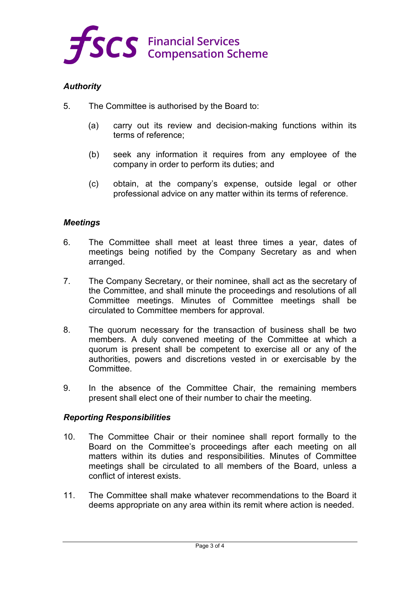

# *Authority*

- 5. The Committee is authorised by the Board to:
	- (a) carry out its review and decision-making functions within its terms of reference;
	- (b) seek any information it requires from any employee of the company in order to perform its duties; and
	- (c) obtain, at the company's expense, outside legal or other professional advice on any matter within its terms of reference.

# *Meetings*

- 6. The Committee shall meet at least three times a year, dates of meetings being notified by the Company Secretary as and when arranged.
- 7. The Company Secretary, or their nominee, shall act as the secretary of the Committee, and shall minute the proceedings and resolutions of all Committee meetings. Minutes of Committee meetings shall be circulated to Committee members for approval.
- 8. The quorum necessary for the transaction of business shall be two members. A duly convened meeting of the Committee at which a quorum is present shall be competent to exercise all or any of the authorities, powers and discretions vested in or exercisable by the Committee.
- 9. In the absence of the Committee Chair, the remaining members present shall elect one of their number to chair the meeting.

## *Reporting Responsibilities*

- 10. The Committee Chair or their nominee shall report formally to the Board on the Committee's proceedings after each meeting on all matters within its duties and responsibilities. Minutes of Committee meetings shall be circulated to all members of the Board, unless a conflict of interest exists.
- 11. The Committee shall make whatever recommendations to the Board it deems appropriate on any area within its remit where action is needed.